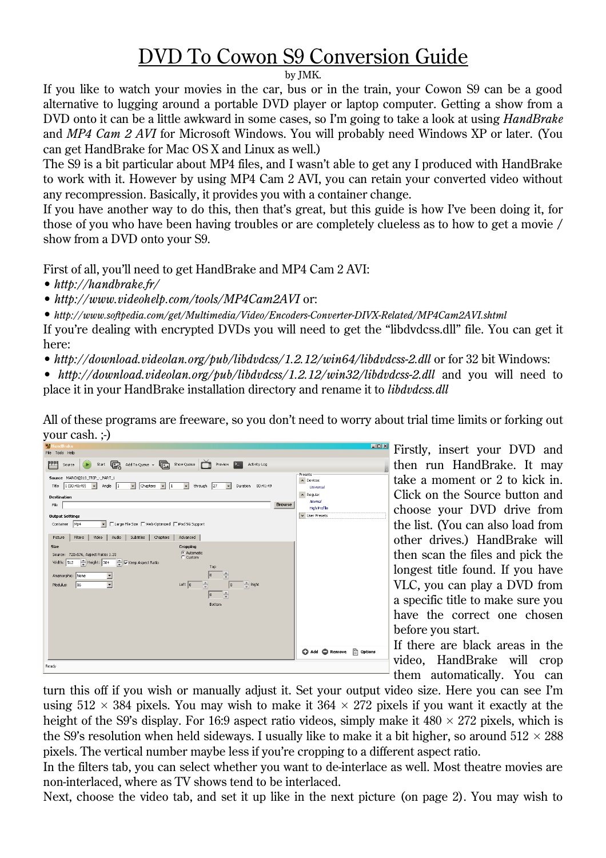## DVD To Cowon S9 Conversion Guide

## by JMK.

If you like to watch your movies in the car, bus or in the train, your Cowon S9 can be a good alternative to lugging around a portable DVD player or laptop computer. Getting a show from a DVD onto it can be a little awkward in some cases, so I'm going to take a look at using *HandBrake* and *MP4 Cam 2 AVI* for Microsoft Windows. You will probably need Windows XP or later. (You can get HandBrake for Mac OS X and Linux as well.)

The S9 is a bit particular about MP4 files, and I wasn't able to get any I produced with HandBrake to work with it. However by using MP4 Cam 2 AVI, you can retain your converted video without any recompression. Basically, it provides you with a container change.

If you have another way to do this, then that's great, but this guide is how I've been doing it, for those of you who have been having troubles or are completely clueless as to how to get a movie / show from a DVD onto your S9.

First of all, you'll need to get HandBrake and MP4 Cam 2 AVI:

• *http://handbrake.fr/*

• *http://www.videohelp.com/tools/MP4Cam2AVI* or:

• *http://www.softpedia.com/get/Multimedia/Video/Encoders-Converter-DIVX-Related/MP4Cam2AVI.shtml*

If you're dealing with encrypted DVDs you will need to get the "libdvdcss.dll" file. You can get it here:

• *http://download.videolan.org/pub/libdvdcss/1.2.12/win64/libdvdcss-2.dll* or for 32 bit Windows:

• *http://download.videolan.org/pub/libdvdcss/1.2.12/win32/libdvdcss-2.dll* and you will need to place it in your HandBrake installation directory and rename it to *libdvdcss.dll*

All of these programs are freeware, so you don't need to worry about trial time limits or forking out your cash. ;-)



Firstly, insert your DVD and then run HandBrake. It may take a moment or 2 to kick in. Click on the Source button and choose your DVD drive from the list. (You can also load from other drives.) HandBrake will then scan the files and pick the longest title found. If you have VLC, you can play a DVD from a specific title to make sure you have the correct one chosen before you start.

If there are black areas in the video, HandBrake will crop them automatically. You can

turn this off if you wish or manually adjust it. Set your output video size. Here you can see I'm using  $512 \times 384$  pixels. You may wish to make it  $364 \times 272$  pixels if you want it exactly at the height of the S9's display. For 16:9 aspect ratio videos, simply make it  $480 \times 272$  pixels, which is the S9's resolution when held sideways. I usually like to make it a bit higher, so around  $512 \times 288$ pixels. The vertical number maybe less if you're cropping to a different aspect ratio.

In the filters tab, you can select whether you want to de-interlace as well. Most theatre movies are non-interlaced, where as TV shows tend to be interlaced.

Next, choose the video tab, and set it up like in the next picture (on page 2). You may wish to